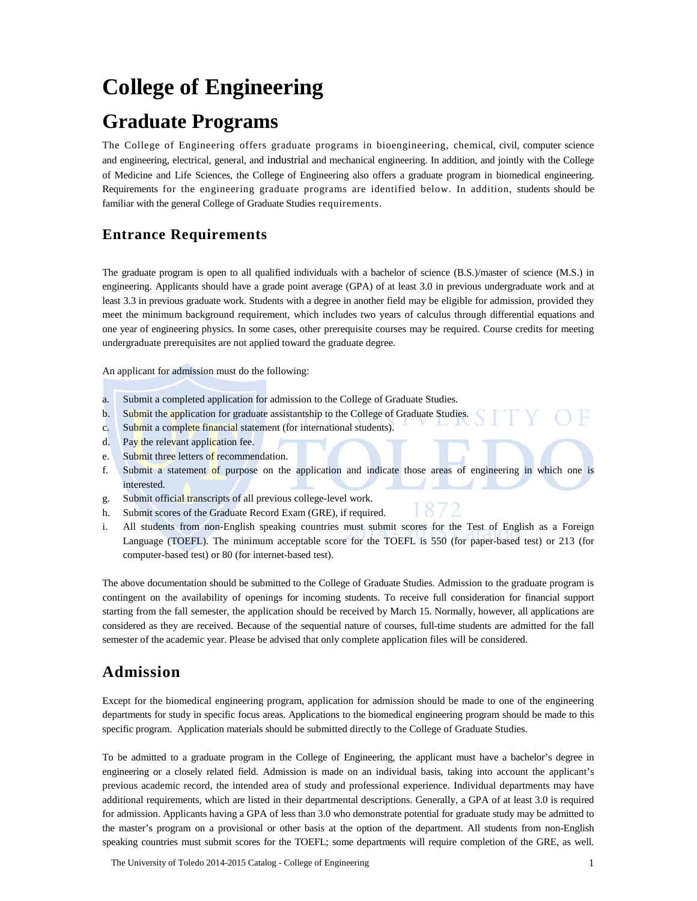# **College of Engineering**

# **Graduate Programs**

The College of Engineering offers graduate programs in bioengineering, chemical, civil, computer science and engineering, electrical, general, and industrial and mechanical engineering. In addition, and jointly with the College of Medicine and Life Sciences, the College of Engineering also offers a graduate program in biomedical engineering. Requirements for the engineering graduate programs are identified below. In addition, students should be familiar with the general College of Graduate Studies requirements.

# **Entrance Requirements**

The graduate program is open to all qualified individuals with a bachelor of science (B.S.)/master of science (M.S.) in engineering. Applicants should have a grade point average (GPA) of at least 3.0 in previous undergraduate work and at least 3.3 in previous graduate work. Students with a degree in another field may be eligible for admission, provided they meet the minimum background requirement, which includes two years of calculus through differential equations and one year of engineering physics. In some cases, other prerequisite courses may be required. Course credits for meeting undergraduate prerequisites are not applied toward the graduate degree.

An applicant for admission must do the following:

- a. Submit a completed application for admission to the College of Graduate Studies.
- b. Submit the application for graduate assistantship to the College of Graduate Studies.
- c. Submit a complete financial statement (for international students).
- d. Pay the relevant application fee.
- e. Submit three letters of recommendation.
- f. Submit a statement of purpose on the application and indicate those areas of engineering in which one is interested.
- g. Submit official transcripts of all previous college-level work.
- h. Submit scores of the Graduate Record Exam (GRE), if required.
- i. All students from non-English speaking countries must submit scores for the Test of English as a Foreign Language (TOEFL). The minimum acceptable score for the TOEFL is 550 (for paper-based test) or 213 (for computer-based test) or 80 (for internet-based test).

The above documentation should be submitted to the College of Graduate Studies. Admission to the graduate program is contingent on the availability of openings for incoming students. To receive full consideration for financial support starting from the fall semester, the application should be received by March 15. Normally, however, all applications are considered as they are received. Because of the sequential nature of courses, full-time students are admitted for the fall semester of the academic year. Please be advised that only complete application files will be considered.

# **Admission**

Except for the biomedical engineering program, application for admission should be made to one of the engineering departments for study in specific focus areas. Applications to the biomedical engineering program should be made to this specific program. Application materials should be submitted directly to the College of Graduate Studies.

To be admitted to a graduate program in the College of Engineering, the applicant must have a bachelor's degree in engineering or a closely related field. Admission is made on an individual basis, taking into account the applicant's previous academic record, the intended area of study and professional experience. Individual departments may have additional requirements, which are listed in their departmental descriptions. Generally, a GPA of at least 3.0 is required for admission. Applicants having a GPA of less than 3.0 who demonstrate potential for graduate study may be admitted to the master's program on a provisional or other basis at the option of the department. All students from non-English speaking countries must submit scores for the TOEFL; some departments will require completion of the GRE, as well.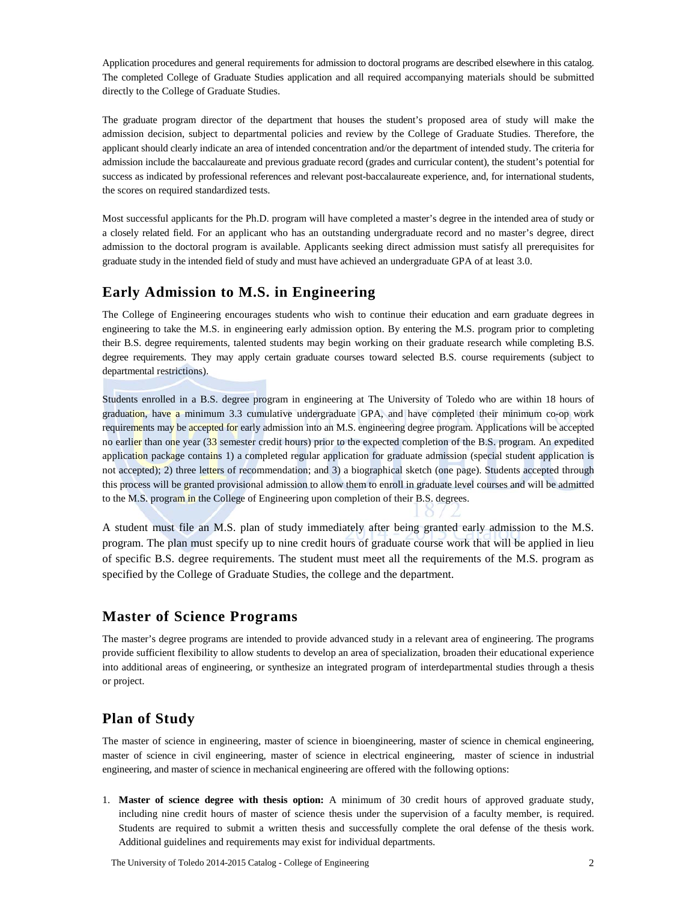Application procedures and general requirements for admission to doctoral programs are described elsewhere in this catalog. The completed College of Graduate Studies application and all required accompanying materials should be submitted directly to the College of Graduate Studies.

The graduate program director of the department that houses the student's proposed area of study will make the admission decision, subject to departmental policies and review by the College of Graduate Studies. Therefore, the applicant should clearly indicate an area of intended concentration and/or the department of intended study. The criteria for admission include the baccalaureate and previous graduate record (grades and curricular content), the student's potential for success as indicated by professional references and relevant post-baccalaureate experience, and, for international students, the scores on required standardized tests.

Most successful applicants for the Ph.D. program will have completed a master's degree in the intended area of study or a closely related field. For an applicant who has an outstanding undergraduate record and no master's degree, direct admission to the doctoral program is available. Applicants seeking direct admission must satisfy all prerequisites for graduate study in the intended field of study and must have achieved an undergraduate GPA of at least 3.0.

### **Early Admission to M.S. in Engineering**

The College of Engineering encourages students who wish to continue their education and earn graduate degrees in engineering to take the M.S. in engineering early admission option. By entering the M.S. program prior to completing their B.S. degree requirements, talented students may begin working on their graduate research while completing B.S. degree requirements. They may apply certain graduate courses toward selected B.S. course requirements (subject to departmental restrictions).

Students enrolled in a B.S. degree program in engineering at The University of Toledo who are within 18 hours of graduation, have a minimum 3.3 cumulative undergraduate GPA, and have completed their minimum co-op work requirements may be accepted for early admission into an M.S. engineering degree program. Applications will be accepted no earlier than one year (33 semester credit hours) prior to the expected completion of the B.S. program. An expedited application package contains 1) a completed regular application for graduate admission (special student application is not accepted); 2) three letters of recommendation; and 3) a biographical sketch (one page). Students accepted through this process will be granted provisional admission to allow them to enroll in graduate level courses and will be admitted to the M.S. program in the College of Engineering upon completion of their B.S. degrees.

A student must file an M.S. plan of study immediately after being granted early admission to the M.S. program. The plan must specify up to nine credit hours of graduate course work that will be applied in lieu of specific B.S. degree requirements. The student must meet all the requirements of the M.S. program as specified by the College of Graduate Studies, the college and the department.

### **Master of Science Programs**

The master's degree programs are intended to provide advanced study in a relevant area of engineering. The programs provide sufficient flexibility to allow students to develop an area of specialization, broaden their educational experience into additional areas of engineering, or synthesize an integrated program of interdepartmental studies through a thesis or project.

### **Plan of Study**

The master of science in engineering, master of science in bioengineering, master of science in chemical engineering, master of science in civil engineering, master of science in electrical engineering, master of science in industrial engineering, and master of science in mechanical engineering are offered with the following options:

1. **Master of science degree with thesis option:** A minimum of 30 credit hours of approved graduate study, including nine credit hours of master of science thesis under the supervision of a faculty member, is required. Students are required to submit a written thesis and successfully complete the oral defense of the thesis work. Additional guidelines and requirements may exist for individual departments.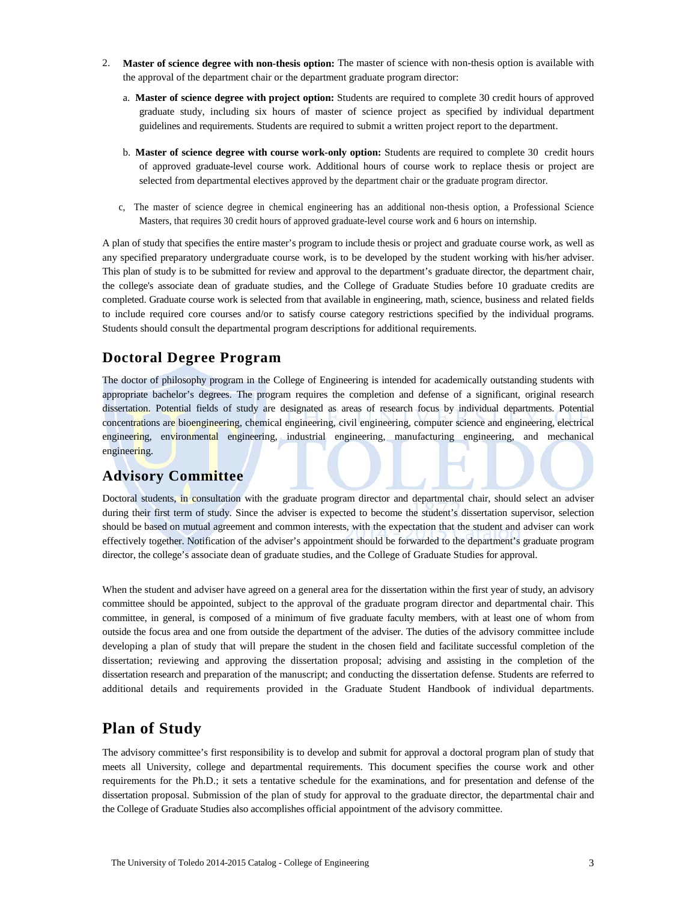- 2. **Master of science degree with non-thesis option:** The master of science with non-thesis option is available with the approval of the department chair or the department graduate program director:
	- a. **Master of science degree with project option:** Students are required to complete 30 credit hours of approved graduate study, including six hours of master of science project as specified by individual department guidelines and requirements. Students are required to submit a written project report to the department.
	- b. **Master of science degree with course work-only option:** Students are required to complete 30 credit hours of approved graduate-level course work. Additional hours of course work to replace thesis or project are selected from departmental electives approved by the department chair or the graduate program director.
	- c, The master of science degree in chemical engineering has an additional non-thesis option, a Professional Science Masters, that requires 30 credit hours of approved graduate-level course work and 6 hours on internship.

A plan of study that specifies the entire master's program to include thesis or project and graduate course work, as well as any specified preparatory undergraduate course work, is to be developed by the student working with his/her adviser. This plan of study is to be submitted for review and approval to the department's graduate director, the department chair, the college's associate dean of graduate studies, and the College of Graduate Studies before 10 graduate credits are completed. Graduate course work is selected from that available in engineering, math, science, business and related fields to include required core courses and/or to satisfy course category restrictions specified by the individual programs. Students should consult the departmental program descriptions for additional requirements.

### **Doctoral Degree Program**

The doctor of philosophy program in the College of Engineering is intended for academically outstanding students with appropriate bachelor's degrees. The program requires the completion and defense of a significant, original research dissertation. Potential fields of study are designated as areas of research focus by individual departments. Potential concentrations are bioengineering, chemical engineering, civil engineering, computer science and engineering, electrical engineering, environmental engineering, industrial engineering, manufacturing engineering, and mechanical engineering.

### **Advisory Committee**

Doctoral students, in consultation with the graduate program director and departmental chair, should select an adviser during their first term of study. Since the adviser is expected to become the student's dissertation supervisor, selection should be based on mutual agreement and common interests, with the expectation that the student and adviser can work effectively together. Notification of the adviser's appointment should be forwarded to the department's graduate program director, the college's associate dean of graduate studies, and the College of Graduate Studies for approval.

When the student and adviser have agreed on a general area for the dissertation within the first year of study, an advisory committee should be appointed, subject to the approval of the graduate program director and departmental chair. This committee, in general, is composed of a minimum of five graduate faculty members, with at least one of whom from outside the focus area and one from outside the department of the adviser. The duties of the advisory committee include developing a plan of study that will prepare the student in the chosen field and facilitate successful completion of the dissertation; reviewing and approving the dissertation proposal; advising and assisting in the completion of the dissertation research and preparation of the manuscript; and conducting the dissertation defense. Students are referred to additional details and requirements provided in the Graduate Student Handbook of individual departments.

### **Plan of Study**

The advisory committee's first responsibility is to develop and submit for approval a doctoral program plan of study that meets all University, college and departmental requirements. This document specifies the course work and other requirements for the Ph.D.; it sets a tentative schedule for the examinations, and for presentation and defense of the dissertation proposal. Submission of the plan of study for approval to the graduate director, the departmental chair and the College of Graduate Studies also accomplishes official appointment of the advisory committee.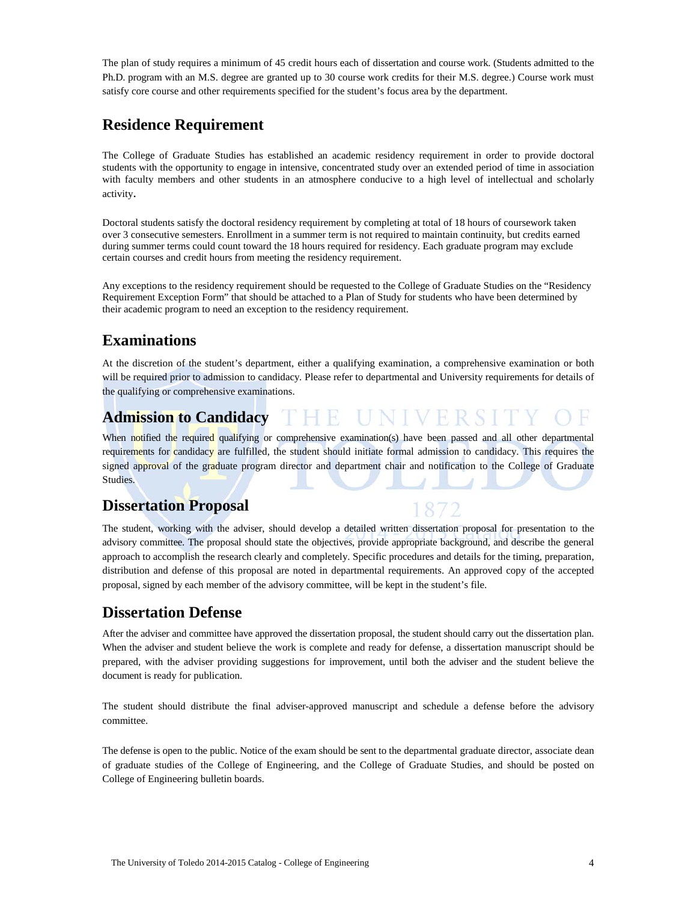The plan of study requires a minimum of 45 credit hours each of dissertation and course work. (Students admitted to the Ph.D. program with an M.S. degree are granted up to 30 course work credits for their M.S. degree.) Course work must satisfy core course and other requirements specified for the student's focus area by the department.

# **Residence Requirement**

The College of Graduate Studies has established an academic residency requirement in order to provide doctoral students with the opportunity to engage in intensive, concentrated study over an extended period of time in association with faculty members and other students in an atmosphere conducive to a high level of intellectual and scholarly activity.

Doctoral students satisfy the doctoral residency requirement by completing at total of 18 hours of coursework taken over 3 consecutive semesters. Enrollment in a summer term is not required to maintain continuity, but credits earned during summer terms could count toward the 18 hours required for residency. Each graduate program may exclude certain courses and credit hours from meeting the residency requirement.

Any exceptions to the residency requirement should be requested to the College of Graduate Studies on the "Residency Requirement Exception Form" that should be attached to a Plan of Study for students who have been determined by their academic program to need an exception to the residency requirement.

# **Examinations**

At the discretion of the student's department, either a qualifying examination, a comprehensive examination or both will be required prior to admission to candidacy. Please refer to departmental and University requirements for details of the qualifying or comprehensive examinations.

#### **Admission to Candidacy** HTE.

When notified the required qualifying or comprehensive examination(s) have been passed and all other departmental requirements for candidacy are fulfilled, the student should initiate formal admission to candidacy. This requires the signed approval of the graduate program director and department chair and notification to the College of Graduate Studies.

# **Dissertation Proposal**

The student, working with the adviser, should develop a detailed written dissertation proposal for presentation to the advisory committee. The proposal should state the objectives, provide appropriate background, and describe the general approach to accomplish the research clearly and completely. Specific procedures and details for the timing, preparation, distribution and defense of this proposal are noted in departmental requirements. An approved copy of the accepted proposal, signed by each member of the advisory committee, will be kept in the student's file.

# **Dissertation Defense**

After the adviser and committee have approved the dissertation proposal, the student should carry out the dissertation plan. When the adviser and student believe the work is complete and ready for defense, a dissertation manuscript should be prepared, with the adviser providing suggestions for improvement, until both the adviser and the student believe the document is ready for publication.

The student should distribute the final adviser-approved manuscript and schedule a defense before the advisory committee.

The defense is open to the public. Notice of the exam should be sent to the departmental graduate director, associate dean of graduate studies of the College of Engineering, and the College of Graduate Studies, and should be posted on College of Engineering bulletin boards.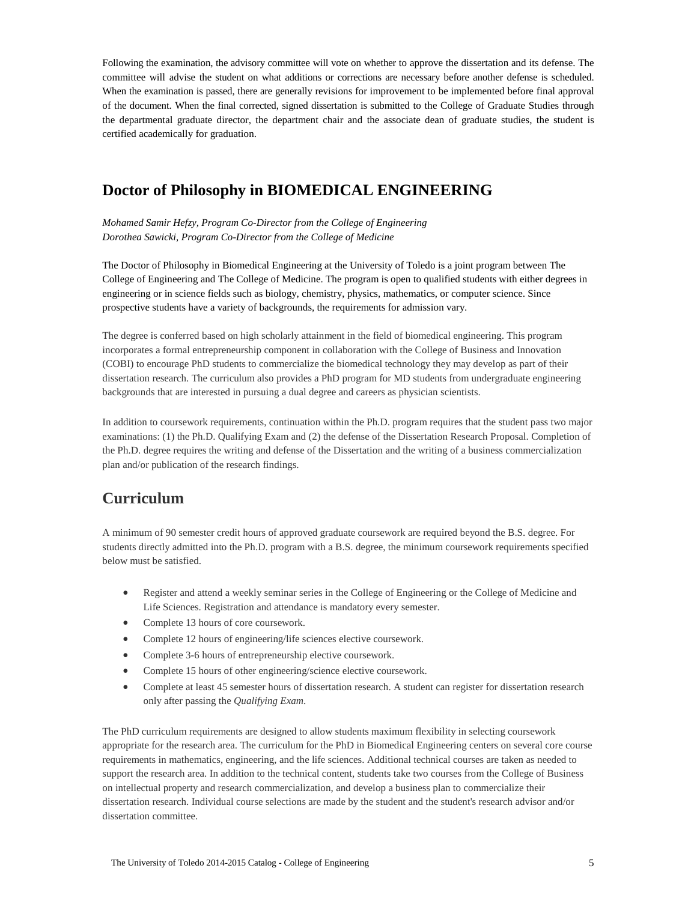Following the examination, the advisory committee will vote on whether to approve the dissertation and its defense. The committee will advise the student on what additions or corrections are necessary before another defense is scheduled. When the examination is passed, there are generally revisions for improvement to be implemented before final approval of the document. When the final corrected, signed dissertation is submitted to the College of Graduate Studies through the departmental graduate director, the department chair and the associate dean of graduate studies, the student is certified academically for graduation.

# **Doctor of Philosophy in BIOMEDICAL ENGINEERING**

*Mohamed Samir Hefzy, Program Co-Director from the College of Engineering Dorothea Sawicki, Program Co-Director from the College of Medicine*

The Doctor of Philosophy in Biomedical Engineering at the University of Toledo is a joint program between The College of Engineering and The College of Medicine. The program is open to qualified students with either degrees in engineering or in science fields such as biology, chemistry, physics, mathematics, or computer science. Since prospective students have a variety of backgrounds, the requirements for admission vary.

The degree is conferred based on high scholarly attainment in the field of biomedical engineering. This program incorporates a formal entrepreneurship component in collaboration with the College of Business and Innovation (COBI) to encourage PhD students to commercialize the biomedical technology they may develop as part of their dissertation research. The curriculum also provides a PhD program for MD students from undergraduate engineering backgrounds that are interested in pursuing a dual degree and careers as physician scientists.

In addition to coursework requirements, continuation within the Ph.D. program requires that the student pass two major examinations: (1) the Ph.D. Qualifying Exam and (2) the defense of the Dissertation Research Proposal. Completion of the Ph.D. degree requires the writing and defense of the Dissertation and the writing of a business commercialization plan and/or publication of the research findings.

# **Curriculum**

A minimum of 90 semester credit hours of approved graduate coursework are required beyond the B.S. degree. For students directly admitted into the Ph.D. program with a B.S. degree, the minimum coursework requirements specified below must be satisfied.

- Register and attend a weekly seminar series in the College of Engineering or the College of Medicine and Life Sciences. Registration and attendance is mandatory every semester.
- Complete 13 hours of core coursework.
- Complete 12 hours of engineering/life sciences elective coursework.
- Complete 3-6 hours of entrepreneurship elective coursework.
- Complete 15 hours of other engineering/science elective coursework.
- Complete at least 45 semester hours of dissertation research. A student can register for dissertation research only after passing the *Qualifying Exam*.

The PhD curriculum requirements are designed to allow students maximum flexibility in selecting coursework appropriate for the research area. The curriculum for the PhD in Biomedical Engineering centers on several core course requirements in mathematics, engineering, and the life sciences. Additional technical courses are taken as needed to support the research area. In addition to the technical content, students take two courses from the College of Business on intellectual property and research commercialization, and develop a business plan to commercialize their dissertation research. Individual course selections are made by the student and the student's research advisor and/or dissertation committee.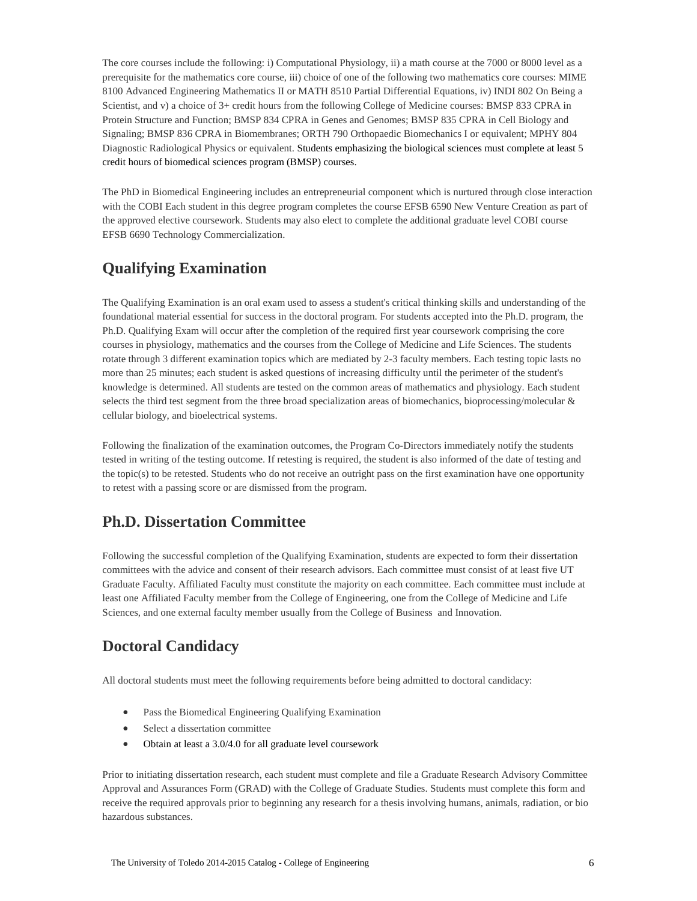The core courses include the following: i) Computational Physiology, ii) a math course at the 7000 or 8000 level as a prerequisite for the mathematics core course, iii) choice of one of the following two mathematics core courses: MIME 8100 Advanced Engineering Mathematics II or MATH 8510 Partial Differential Equations, iv) INDI 802 On Being a Scientist, and v) a choice of 3+ credit hours from the following College of Medicine courses: BMSP 833 CPRA in Protein Structure and Function; BMSP 834 CPRA in Genes and Genomes; BMSP 835 CPRA in Cell Biology and Signaling; BMSP 836 CPRA in Biomembranes; ORTH 790 Orthopaedic Biomechanics I or equivalent; MPHY 804 Diagnostic Radiological Physics or equivalent. Students emphasizing the biological sciences must complete at least 5 credit hours of biomedical sciences program (BMSP) courses.

The PhD in Biomedical Engineering includes an entrepreneurial component which is nurtured through close interaction with the COBI Each student in this degree program completes the course EFSB 6590 New Venture Creation as part of the approved elective coursework. Students may also elect to complete the additional graduate level COBI course EFSB 6690 Technology Commercialization.

# **Qualifying Examination**

The Qualifying Examination is an oral exam used to assess a student's critical thinking skills and understanding of the foundational material essential for success in the doctoral program. For students accepted into the Ph.D. program, the Ph.D. Qualifying Exam will occur after the completion of the required first year coursework comprising the core courses in physiology, mathematics and the courses from the College of Medicine and Life Sciences. The students rotate through 3 different examination topics which are mediated by 2-3 faculty members. Each testing topic lasts no more than 25 minutes; each student is asked questions of increasing difficulty until the perimeter of the student's knowledge is determined. All students are tested on the common areas of mathematics and physiology. Each student selects the third test segment from the three broad specialization areas of biomechanics, bioprocessing/molecular & cellular biology, and bioelectrical systems.

Following the finalization of the examination outcomes, the Program Co-Directors immediately notify the students tested in writing of the testing outcome. If retesting is required, the student is also informed of the date of testing and the topic(s) to be retested. Students who do not receive an outright pass on the first examination have one opportunity to retest with a passing score or are dismissed from the program.

# **Ph.D. Dissertation Committee**

Following the successful completion of the Qualifying Examination, students are expected to form their dissertation committees with the advice and consent of their research advisors. Each committee must consist of at least five UT Graduate Faculty. Affiliated Faculty must constitute the majority on each committee. Each committee must include at least one Affiliated Faculty member from the College of Engineering, one from the College of Medicine and Life Sciences, and one external faculty member usually from the College of Business and Innovation.

# **Doctoral Candidacy**

All doctoral students must meet the following requirements before being admitted to doctoral candidacy:

- Pass the Biomedical Engineering Qualifying Examination
- Select a dissertation committee
- Obtain at least a 3.0/4.0 for all graduate level coursework

Prior to initiating dissertation research, each student must complete and file a Graduate Research Advisory Committee Approval and Assurances Form (GRAD) with the College of Graduate Studies. Students must complete this form and receive the required approvals prior to beginning any research for a thesis involving humans, animals, radiation, or bio hazardous substances.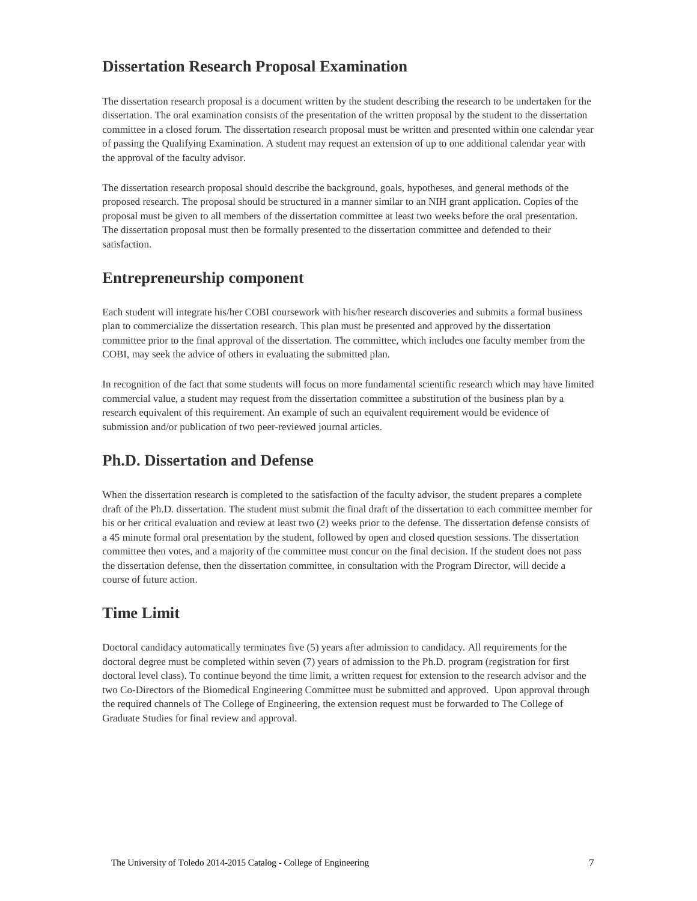### **Dissertation Research Proposal Examination**

The dissertation research proposal is a document written by the student describing the research to be undertaken for the dissertation. The oral examination consists of the presentation of the written proposal by the student to the dissertation committee in a closed forum. The dissertation research proposal must be written and presented within one calendar year of passing the Qualifying Examination. A student may request an extension of up to one additional calendar year with the approval of the faculty advisor.

The dissertation research proposal should describe the background, goals, hypotheses, and general methods of the proposed research. The proposal should be structured in a manner similar to an NIH grant application. Copies of the proposal must be given to all members of the dissertation committee at least two weeks before the oral presentation. The dissertation proposal must then be formally presented to the dissertation committee and defended to their satisfaction.

### **Entrepreneurship component**

Each student will integrate his/her COBI coursework with his/her research discoveries and submits a formal business plan to commercialize the dissertation research. This plan must be presented and approved by the dissertation committee prior to the final approval of the dissertation. The committee, which includes one faculty member from the COBI, may seek the advice of others in evaluating the submitted plan.

In recognition of the fact that some students will focus on more fundamental scientific research which may have limited commercial value, a student may request from the dissertation committee a substitution of the business plan by a research equivalent of this requirement. An example of such an equivalent requirement would be evidence of submission and/or publication of two peer-reviewed journal articles.

### **Ph.D. Dissertation and Defense**

When the dissertation research is completed to the satisfaction of the faculty advisor, the student prepares a complete draft of the Ph.D. dissertation. The student must submit the final draft of the dissertation to each committee member for his or her critical evaluation and review at least two (2) weeks prior to the defense. The dissertation defense consists of a 45 minute formal oral presentation by the student, followed by open and closed question sessions. The dissertation committee then votes, and a majority of the committee must concur on the final decision. If the student does not pass the dissertation defense, then the dissertation committee, in consultation with the Program Director, will decide a course of future action.

# **Time Limit**

Doctoral candidacy automatically terminates five (5) years after admission to candidacy. All requirements for the doctoral degree must be completed within seven (7) years of admission to the Ph.D. program (registration for first doctoral level class). To continue beyond the time limit, a written request for extension to the research advisor and the two Co-Directors of the Biomedical Engineering Committee must be submitted and approved. Upon approval through the required channels of The College of Engineering, the extension request must be forwarded to The College of Graduate Studies for final review and approval.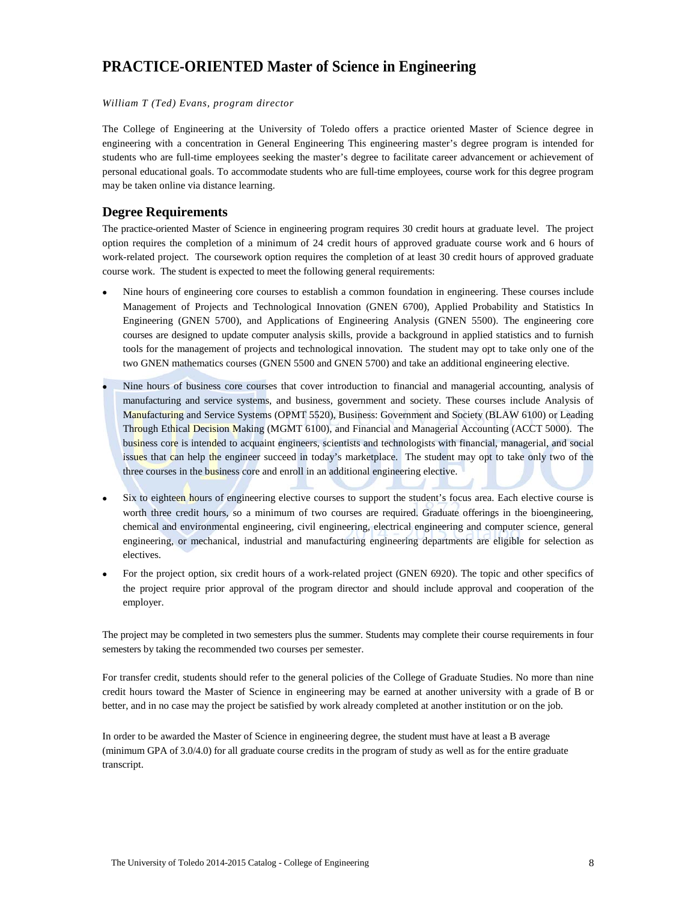# **PRACTICE-ORIENTED Master of Science in Engineering**

#### *William T (Ted) Evans, program director*

The College of Engineering at the University of Toledo offers a practice oriented Master of Science degree in engineering with a concentration in General Engineering This engineering master's degree program is intended for students who are full-time employees seeking the master's degree to facilitate career advancement or achievement of personal educational goals. To accommodate students who are full-time employees, course work for this degree program may be taken online via distance learning.

### **Degree Requirements**

The practice-oriented Master of Science in engineering program requires 30 credit hours at graduate level. The project option requires the completion of a minimum of 24 credit hours of approved graduate course work and 6 hours of work-related project. The coursework option requires the completion of at least 30 credit hours of approved graduate course work. The student is expected to meet the following general requirements:

- Nine hours of engineering core courses to establish a common foundation in engineering. These courses include Management of Projects and Technological Innovation (GNEN 6700), Applied Probability and Statistics In Engineering (GNEN 5700), and Applications of Engineering Analysis (GNEN 5500). The engineering core courses are designed to update computer analysis skills, provide a background in applied statistics and to furnish tools for the management of projects and technological innovation. The student may opt to take only one of the two GNEN mathematics courses (GNEN 5500 and GNEN 5700) and take an additional engineering elective.
- Nine hours of business core courses that cover introduction to financial and managerial accounting, analysis of manufacturing and service systems, and business, government and society. These courses include Analysis of Manufacturing and Service Systems (OPMT 5520), Business: Government and Society (BLAW 6100) or Leading Through Ethical Decision Making (MGMT 6100), and Financial and Managerial Accounting (ACCT 5000). The business core is intended to acquaint engineers, scientists and technologists with financial, managerial, and social issues that can help the engineer succeed in today's marketplace. The student may opt to take only two of the three courses in the business core and enroll in an additional engineering elective.
- Six to eighteen hours of engineering elective courses to support the student's focus area. Each elective course is worth three credit hours, so a minimum of two courses are required. Graduate offerings in the bioengineering, chemical and environmental engineering, civil engineering, electrical engineering and computer science, general engineering, or mechanical, industrial and manufacturing engineering departments are eligible for selection as electives.
- For the project option, six credit hours of a work-related project (GNEN 6920). The topic and other specifics of the project require prior approval of the program director and should include approval and cooperation of the employer.

The project may be completed in two semesters plus the summer. Students may complete their course requirements in four semesters by taking the recommended two courses per semester.

For transfer credit, students should refer to the general policies of the College of Graduate Studies. No more than nine credit hours toward the Master of Science in engineering may be earned at another university with a grade of B or better, and in no case may the project be satisfied by work already completed at another institution or on the job.

In order to be awarded the Master of Science in engineering degree, the student must have at least a B average (minimum GPA of 3.0/4.0) for all graduate course credits in the program of study as well as for the entire graduate transcript.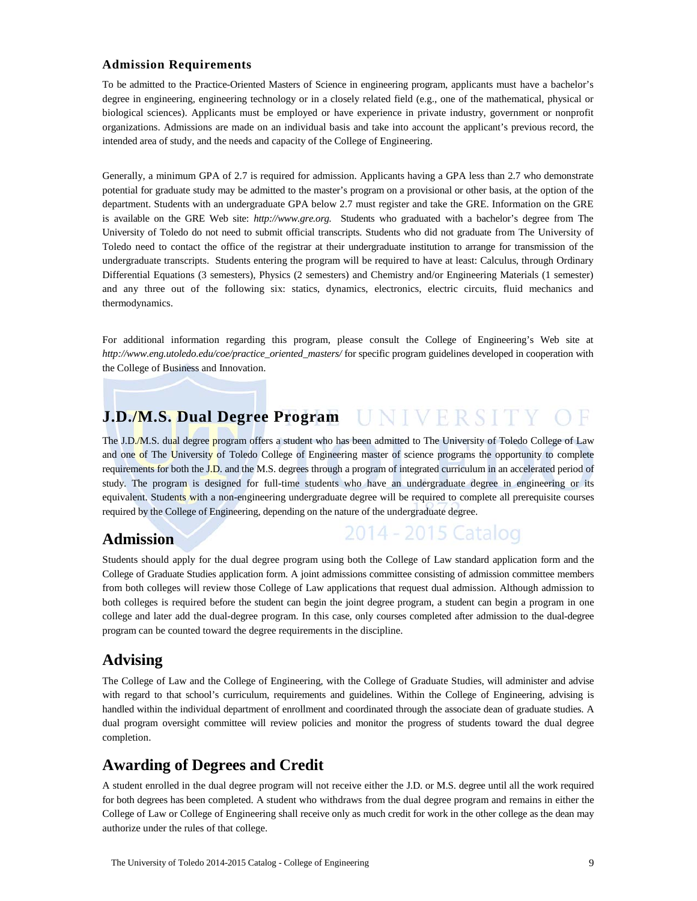### **Admission Requirements**

To be admitted to the Practice-Oriented Masters of Science in engineering program, applicants must have a bachelor's degree in engineering, engineering technology or in a closely related field (e.g., one of the mathematical, physical or biological sciences). Applicants must be employed or have experience in private industry, government or nonprofit organizations. Admissions are made on an individual basis and take into account the applicant's previous record, the intended area of study, and the needs and capacity of the College of Engineering.

Generally, a minimum GPA of 2.7 is required for admission. Applicants having a GPA less than 2.7 who demonstrate potential for graduate study may be admitted to the master's program on a provisional or other basis, at the option of the department. Students with an undergraduate GPA below 2.7 must register and take the GRE. Information on the GRE is available on the GRE Web site: *http://www.gre.org.* Students who graduated with a bachelor's degree from The University of Toledo do not need to submit official transcripts. Students who did not graduate from The University of Toledo need to contact the office of the registrar at their undergraduate institution to arrange for transmission of the undergraduate transcripts. Students entering the program will be required to have at least: Calculus, through Ordinary Differential Equations (3 semesters), Physics (2 semesters) and Chemistry and/or Engineering Materials (1 semester) and any three out of the following six: statics, dynamics, electronics, electric circuits, fluid mechanics and thermodynamics.

For additional information regarding this program, please consult the College of Engineering's Web site at *http://www.eng.utoledo.edu/coe/practice\_oriented\_masters/* for specific program guidelines developed in cooperation with the College of Business and Innovation.

# **J.D./M.S. Dual Degree Program**

The J.D./M.S. dual degree program offers a student who has been admitted to The University of Toledo College of Law and one of The University of Toledo College of Engineering master of science programs the opportunity to complete requirements for both the J.D. and the M.S. degrees through a program of integrated curriculum in an accelerated period of study. The program is designed for full-time students who have an undergraduate degree in engineering or its equivalent. Students with a non-engineering undergraduate degree will be required to complete all prerequisite courses required by the College of Engineering, depending on the nature of the undergraduate degree.

### **Admission**

| 2014 - 2015 Catalog |  |  |  |
|---------------------|--|--|--|
|                     |  |  |  |

Students should apply for the dual degree program using both the College of Law standard application form and the College of Graduate Studies application form. A joint admissions committee consisting of admission committee members from both colleges will review those College of Law applications that request dual admission. Although admission to both colleges is required before the student can begin the joint degree program, a student can begin a program in one college and later add the dual-degree program. In this case, only courses completed after admission to the dual-degree program can be counted toward the degree requirements in the discipline.

### **Advising**

The College of Law and the College of Engineering, with the College of Graduate Studies, will administer and advise with regard to that school's curriculum, requirements and guidelines. Within the College of Engineering, advising is handled within the individual department of enrollment and coordinated through the associate dean of graduate studies. A dual program oversight committee will review policies and monitor the progress of students toward the dual degree completion.

# **Awarding of Degrees and Credit**

A student enrolled in the dual degree program will not receive either the J.D. or M.S. degree until all the work required for both degrees has been completed. A student who withdraws from the dual degree program and remains in either the College of Law or College of Engineering shall receive only as much credit for work in the other college as the dean may authorize under the rules of that college.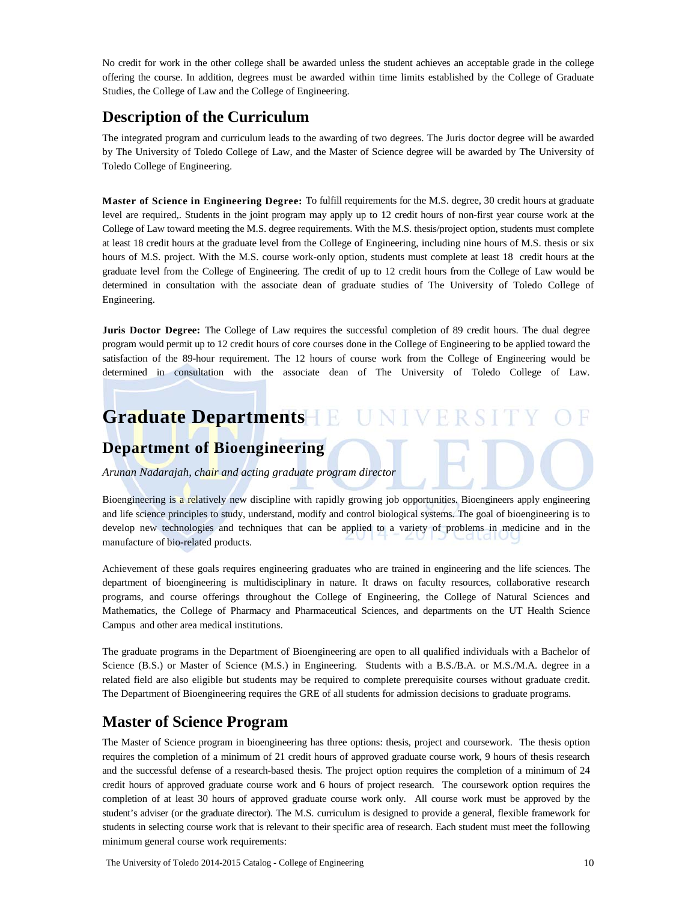No credit for work in the other college shall be awarded unless the student achieves an acceptable grade in the college offering the course. In addition, degrees must be awarded within time limits established by the College of Graduate Studies, the College of Law and the College of Engineering.

# **Description of the Curriculum**

The integrated program and curriculum leads to the awarding of two degrees. The Juris doctor degree will be awarded by The University of Toledo College of Law, and the Master of Science degree will be awarded by The University of Toledo College of Engineering.

**Master of Science in Engineering Degree:** To fulfill requirements for the M.S. degree, 30 credit hours at graduate level are required,. Students in the joint program may apply up to 12 credit hours of non-first year course work at the College of Law toward meeting the M.S. degree requirements. With the M.S. thesis/project option, students must complete at least 18 credit hours at the graduate level from the College of Engineering, including nine hours of M.S. thesis or six hours of M.S. project. With the M.S. course work-only option, students must complete at least 18 credit hours at the graduate level from the College of Engineering. The credit of up to 12 credit hours from the College of Law would be determined in consultation with the associate dean of graduate studies of The University of Toledo College of Engineering.

**Juris Doctor Degree:** The College of Law requires the successful completion of 89 credit hours. The dual degree program would permit up to 12 credit hours of core courses done in the College of Engineering to be applied toward the satisfaction of the 89-hour requirement. The 12 hours of course work from the College of Engineering would be determined in consultation with the associate dean of The University of Toledo College of Law.

# **Graduate Departments IINIVE**

### **Department of Bioengineering**

*Arunan Nadarajah, chair and acting graduate program director*

Bioengineering is a relatively new discipline with rapidly growing job opportunities. Bioengineers apply engineering and life science principles to study, understand, modify and control biological systems. The goal of bioengineering is to develop new technologies and techniques that can be applied to a variety of problems in medicine and in the manufacture of bio-related products.

Achievement of these goals requires engineering graduates who are trained in engineering and the life sciences. The department of bioengineering is multidisciplinary in nature. It draws on faculty resources, collaborative research programs, and course offerings throughout the College of Engineering, the College of Natural Sciences and Mathematics, the College of Pharmacy and Pharmaceutical Sciences, and departments on the UT Health Science Campus and other area medical institutions.

The graduate programs in the Department of Bioengineering are open to all qualified individuals with a Bachelor of Science (B.S.) or Master of Science (M.S.) in Engineering. Students with a B.S./B.A. or M.S./M.A. degree in a related field are also eligible but students may be required to complete prerequisite courses without graduate credit. The Department of Bioengineering requires the GRE of all students for admission decisions to graduate programs.

# **Master of Science Program**

The Master of Science program in bioengineering has three options: thesis, project and coursework. The thesis option requires the completion of a minimum of 21 credit hours of approved graduate course work, 9 hours of thesis research and the successful defense of a research-based thesis. The project option requires the completion of a minimum of 24 credit hours of approved graduate course work and 6 hours of project research. The coursework option requires the completion of at least 30 hours of approved graduate course work only. All course work must be approved by the student's adviser (or the graduate director). The M.S. curriculum is designed to provide a general, flexible framework for students in selecting course work that is relevant to their specific area of research. Each student must meet the following minimum general course work requirements: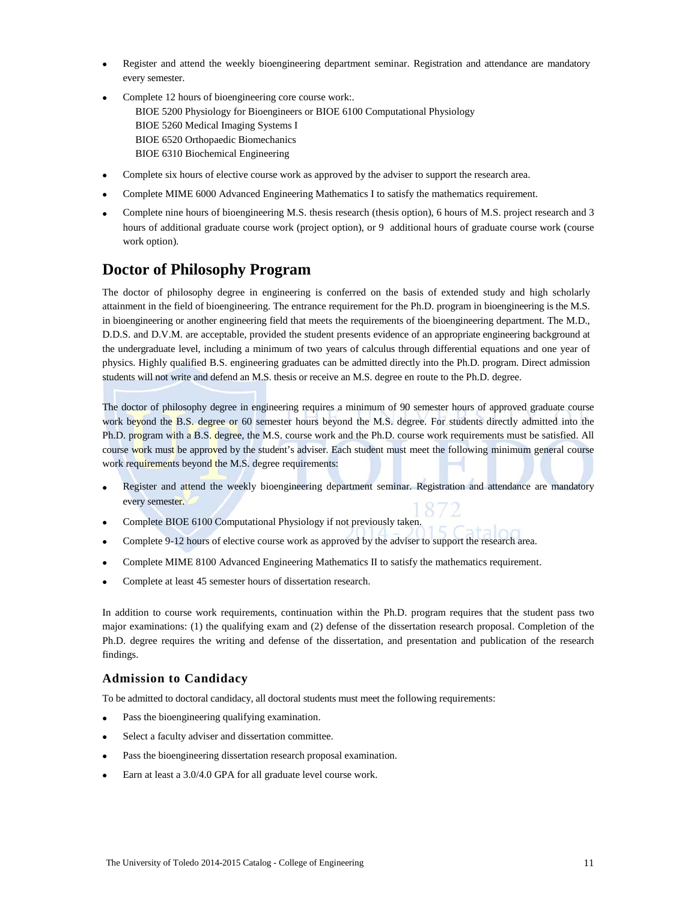- Register and attend the weekly bioengineering department seminar. Registration and attendance are mandatory every semester.
- Complete 12 hours of bioengineering core course work:. BIOE 5200 Physiology for Bioengineers or BIOE 6100 Computational Physiology BIOE 5260 Medical Imaging Systems I BIOE 6520 Orthopaedic Biomechanics BIOE 6310 Biochemical Engineering
- Complete six hours of elective course work as approved by the adviser to support the research area.
- Complete MIME 6000 Advanced Engineering Mathematics I to satisfy the mathematics requirement.
- Complete nine hours of bioengineering M.S. thesis research (thesis option), 6 hours of M.S. project research and 3 hours of additional graduate course work (project option), or 9 additional hours of graduate course work (course work option).

### **Doctor of Philosophy Program**

The doctor of philosophy degree in engineering is conferred on the basis of extended study and high scholarly attainment in the field of bioengineering. The entrance requirement for the Ph.D. program in bioengineering is the M.S. in bioengineering or another engineering field that meets the requirements of the bioengineering department. The M.D., D.D.S. and D.V.M. are acceptable, provided the student presents evidence of an appropriate engineering background at the undergraduate level, including a minimum of two years of calculus through differential equations and one year of physics. Highly qualified B.S. engineering graduates can be admitted directly into the Ph.D. program. Direct admission students will not write and defend an M.S. thesis or receive an M.S. degree en route to the Ph.D. degree.

The doctor of philosophy degree in engineering requires a minimum of 90 semester hours of approved graduate course work beyond the B.S. degree or 60 semester hours beyond the M.S. degree. For students directly admitted into the Ph.D. program with a B.S. degree, the M.S. course work and the Ph.D. course work requirements must be satisfied. All course work must be approved by the student's adviser. Each student must meet the following minimum general course work requirements beyond the M.S. degree requirements:

- Register and attend the weekly bioengineering department seminar. Registration and attendance are mandatory every semester.
- Complete BIOE 6100 Computational Physiology if not previously taken.
- Complete 9-12 hours of elective course work as approved by the adviser to support the research area.
- Complete MIME 8100 Advanced Engineering Mathematics II to satisfy the mathematics requirement.
- Complete at least 45 semester hours of dissertation research.

In addition to course work requirements, continuation within the Ph.D. program requires that the student pass two major examinations: (1) the qualifying exam and (2) defense of the dissertation research proposal. Completion of the Ph.D. degree requires the writing and defense of the dissertation, and presentation and publication of the research findings.

#### **Admission to Candidacy**

To be admitted to doctoral candidacy, all doctoral students must meet the following requirements:

- Pass the bioengineering qualifying examination.
- Select a faculty adviser and dissertation committee.
- Pass the bioengineering dissertation research proposal examination.
- Earn at least a 3.0/4.0 GPA for all graduate level course work.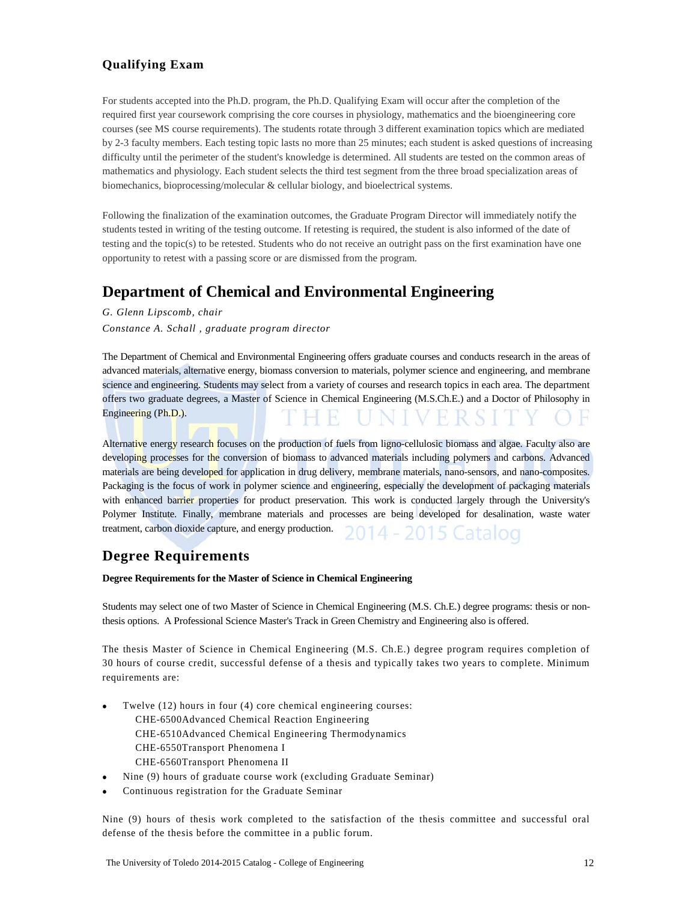### **Qualifying Exam**

For students accepted into the Ph.D. program, the Ph.D. Qualifying Exam will occur after the completion of the required first year coursework comprising the core courses in physiology, mathematics and the bioengineering core courses (see MS course requirements). The students rotate through 3 different examination topics which are mediated by 2-3 faculty members. Each testing topic lasts no more than 25 minutes; each student is asked questions of increasing difficulty until the perimeter of the student's knowledge is determined. All students are tested on the common areas of mathematics and physiology. Each student selects the third test segment from the three broad specialization areas of biomechanics, bioprocessing/molecular & cellular biology, and bioelectrical systems.

Following the finalization of the examination outcomes, the Graduate Program Director will immediately notify the students tested in writing of the testing outcome. If retesting is required, the student is also informed of the date of testing and the topic(s) to be retested. Students who do not receive an outright pass on the first examination have one opportunity to retest with a passing score or are dismissed from the program.

### **Department of Chemical and Environmental Engineering**

*G. Glenn Lipscomb, chair Constance A. Schall , graduate program director*

The Department of Chemical and Environmental Engineering offers graduate courses and conducts research in the areas of advanced materials, alternative energy, biomass conversion to materials, polymer science and engineering, and membrane science and engineering. Students may select from a variety of courses and research topics in each area. The department offers two graduate degrees, a Master of Science in Chemical Engineering (M.S.Ch.E.) and a Doctor of Philosophy in Engineering (Ph.D.).

Alternative energy research focuses on the production of fuels from ligno-cellulosic biomass and algae. Faculty also are developing processes for the conversion of biomass to advanced materials including polymers and carbons. Advanced materials are being developed for application in drug delivery, membrane materials, nano-sensors, and nano-composites. Packaging is the focus of work in polymer science and engineering, especially the development of packaging materials with enhanced barrier properties for product preservation. This work is conducted largely through the University's Polymer Institute. Finally, membrane materials and processes are being developed for desalination, waste water treatment, carbon dioxide capture, and energy production. 2015 Catalog

### **Degree Requirements**

**Degree Requirements for the Master of Science in Chemical Engineering**

Students may select one of two Master of Science in Chemical Engineering (M.S. Ch.E.) degree programs: thesis or nonthesis options. A Professional Science Master's Track in Green Chemistry and Engineering also is offered.

The thesis Master of Science in Chemical Engineering (M.S. Ch.E.) degree program requires completion of 30 hours of course credit, successful defense of a thesis and typically takes two years to complete. Minimum requirements are:

- Twelve (12) hours in four (4) core chemical engineering courses:
	- CHE-6500Advanced Chemical Reaction Engineering
	- CHE-6510Advanced Chemical Engineering Thermodynamics CHE-6550Transport Phenomena I
	- CHE-6560Transport Phenomena II
- Nine (9) hours of graduate course work (excluding Graduate Seminar)
- Continuous registration for the Graduate Seminar

Nine (9) hours of thesis work completed to the satisfaction of the thesis committee and successful oral defense of the thesis before the committee in a public forum.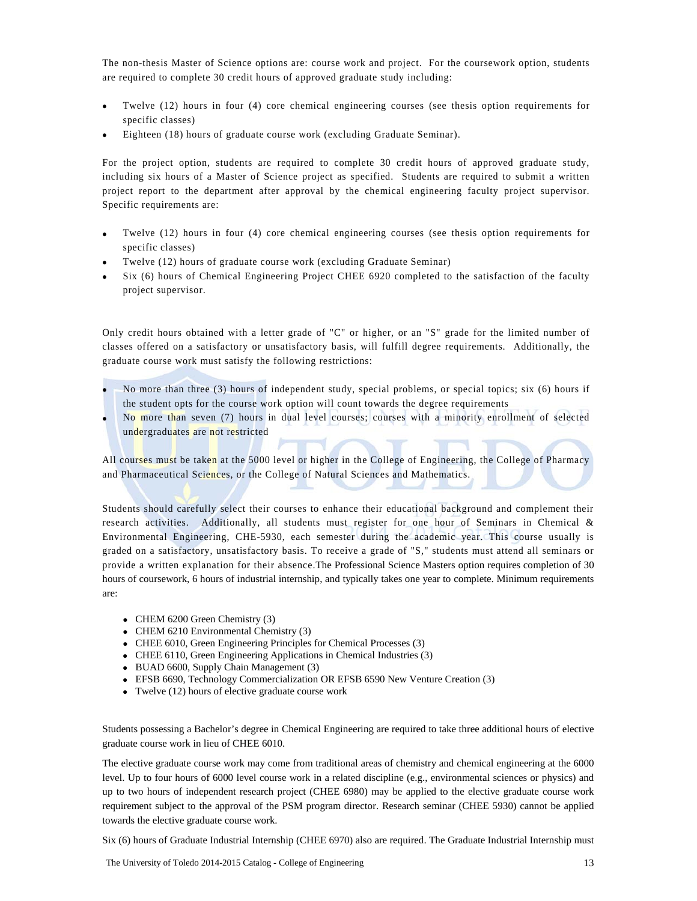The non-thesis Master of Science options are: course work and project. For the coursework option, students are required to complete 30 credit hours of approved graduate study including:

- Twelve (12) hours in four (4) core chemical engineering courses (see thesis option requirements for specific classes)
- Eighteen (18) hours of graduate course work (excluding Graduate Seminar).

For the project option, students are required to complete 30 credit hours of approved graduate study, including six hours of a Master of Science project as specified. Students are required to submit a written project report to the department after approval by the chemical engineering faculty project supervisor. Specific requirements are:

- Twelve (12) hours in four (4) core chemical engineering courses (see thesis option requirements for specific classes)
- Twelve (12) hours of graduate course work (excluding Graduate Seminar)
- Six (6) hours of Chemical Engineering Project CHEE 6920 completed to the satisfaction of the faculty project supervisor.

Only credit hours obtained with a letter grade of "C" or higher, or an "S" grade for the limited number of classes offered on a satisfactory or unsatisfactory basis, will fulfill degree requirements. Additionally, the graduate course work must satisfy the following restrictions:

- No more than three (3) hours of independent study, special problems, or special topics; six (6) hours if the student opts for the course work option will count towards the degree requirements
- No more than seven (7) hours in dual level courses; courses with a minority enrollment of selected undergraduates are not restricted

All courses must be taken at the 5000 level or higher in the College of Engineering, the College of Pharmacy and Pharmaceutical Sciences, or the College of Natural Sciences and Mathematics.

Students should carefully select their courses to enhance their educational background and complement their research activities. Additionally, all students must register for one hour of Seminars in Chemical & Environmental Engineering, CHE-5930, each semester during the academic year. This course usually is graded on a satisfactory, unsatisfactory basis. To receive a grade of "S," students must attend all seminars or provide a written explanation for their absence.The Professional Science Masters option requires completion of 30 hours of coursework, 6 hours of industrial internship, and typically takes one year to complete. Minimum requirements are:

- CHEM 6200 Green Chemistry (3)
- CHEM 6210 Environmental Chemistry (3)
- CHEE 6010, Green Engineering Principles for Chemical Processes (3)
- CHEE 6110, Green Engineering Applications in Chemical Industries (3)
- BUAD 6600, Supply Chain Management (3)
- EFSB 6690, Technology Commercialization OR EFSB 6590 New Venture Creation (3)
- Twelve (12) hours of elective graduate course work

Students possessing a Bachelor's degree in Chemical Engineering are required to take three additional hours of elective graduate course work in lieu of CHEE 6010.

The elective graduate course work may come from traditional areas of chemistry and chemical engineering at the 6000 level. Up to four hours of 6000 level course work in a related discipline (e.g., environmental sciences or physics) and up to two hours of independent research project (CHEE 6980) may be applied to the elective graduate course work requirement subject to the approval of the PSM program director. Research seminar (CHEE 5930) cannot be applied towards the elective graduate course work.

Six (6) hours of Graduate Industrial Internship (CHEE 6970) also are required. The Graduate Industrial Internship must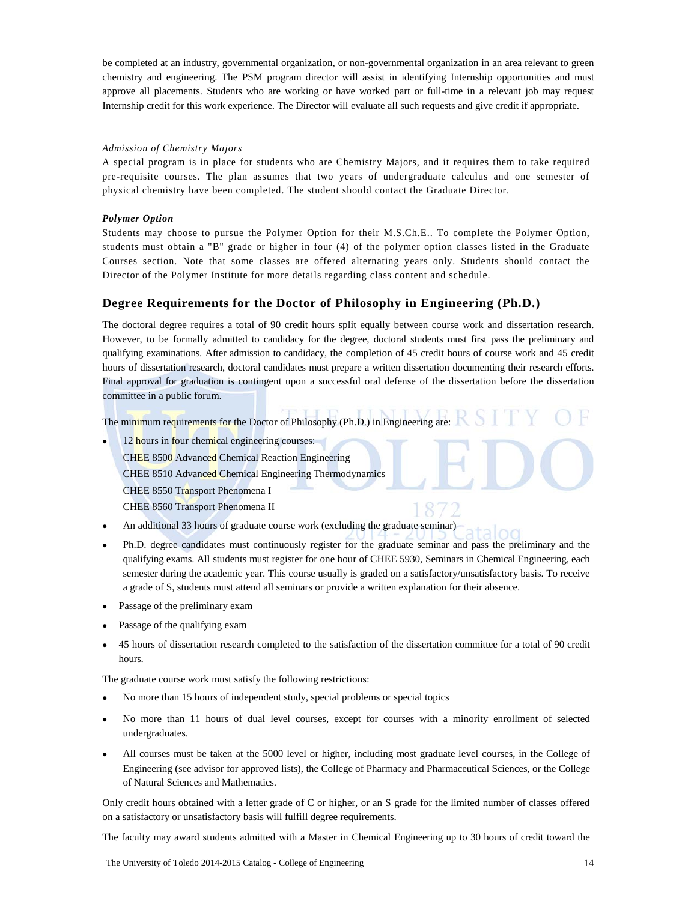be completed at an industry, governmental organization, or non-governmental organization in an area relevant to green chemistry and engineering. The PSM program director will assist in identifying Internship opportunities and must approve all placements. Students who are working or have worked part or full-time in a relevant job may request Internship credit for this work experience. The Director will evaluate all such requests and give credit if appropriate.

#### *Admission of Chemistry Majors*

A special program is in place for students who are Chemistry Majors, and it requires them to take required pre-requisite courses. The plan assumes that two years of undergraduate calculus and one semester of physical chemistry have been completed. The student should contact the Graduate Director.

#### *Polymer Option*

Students may choose to pursue the Polymer Option for their M.S.Ch.E.. To complete the Polymer Option, students must obtain a "B" grade or higher in four (4) of the polymer option classes listed in the Graduate Courses section. Note that some classes are offered alternating years only. Students should contact the Director of the Polymer Institute for more details regarding class content and schedule.

#### **Degree Requirements for the Doctor of Philosophy in Engineering (Ph.D.)**

The doctoral degree requires a total of 90 credit hours split equally between course work and dissertation research. However, to be formally admitted to candidacy for the degree, doctoral students must first pass the preliminary and qualifying examinations. After admission to candidacy, the completion of 45 credit hours of course work and 45 credit hours of dissertation research, doctoral candidates must prepare a written dissertation documenting their research efforts. Final approval for graduation is contingent upon a successful oral defense of the dissertation before the dissertation committee in a public forum.

The minimum requirements for the Doctor of Philosophy (Ph.D.) in Engineering are:

12 hours in four chemical engineering courses:

CHEE 8500 Advanced Chemical Reaction Engineering

CHEE 8510 Advanced Chemical Engineering Thermodynamics

CHEE 8550 Transport Phenomena I

- CHEE 8560 Transport Phenomena II
- An additional 33 hours of graduate course work (excluding the graduate seminar)
- Ph.D. degree candidates must continuously register for the graduate seminar and pass the preliminary and the qualifying exams. All students must register for one hour of CHEE 5930, Seminars in Chemical Engineering, each semester during the academic year. This course usually is graded on a satisfactory/unsatisfactory basis. To receive a grade of S, students must attend all seminars or provide a written explanation for their absence.
- Passage of the preliminary exam
- Passage of the qualifying exam
- 45 hours of dissertation research completed to the satisfaction of the dissertation committee for a total of 90 credit hours.

The graduate course work must satisfy the following restrictions:

- No more than 15 hours of independent study, special problems or special topics
- No more than 11 hours of dual level courses, except for courses with a minority enrollment of selected undergraduates.
- All courses must be taken at the 5000 level or higher, including most graduate level courses, in the College of Engineering (see advisor for approved lists), the College of Pharmacy and Pharmaceutical Sciences, or the College of Natural Sciences and Mathematics.

Only credit hours obtained with a letter grade of C or higher, or an S grade for the limited number of classes offered on a satisfactory or unsatisfactory basis will fulfill degree requirements.

The faculty may award students admitted with a Master in Chemical Engineering up to 30 hours of credit toward the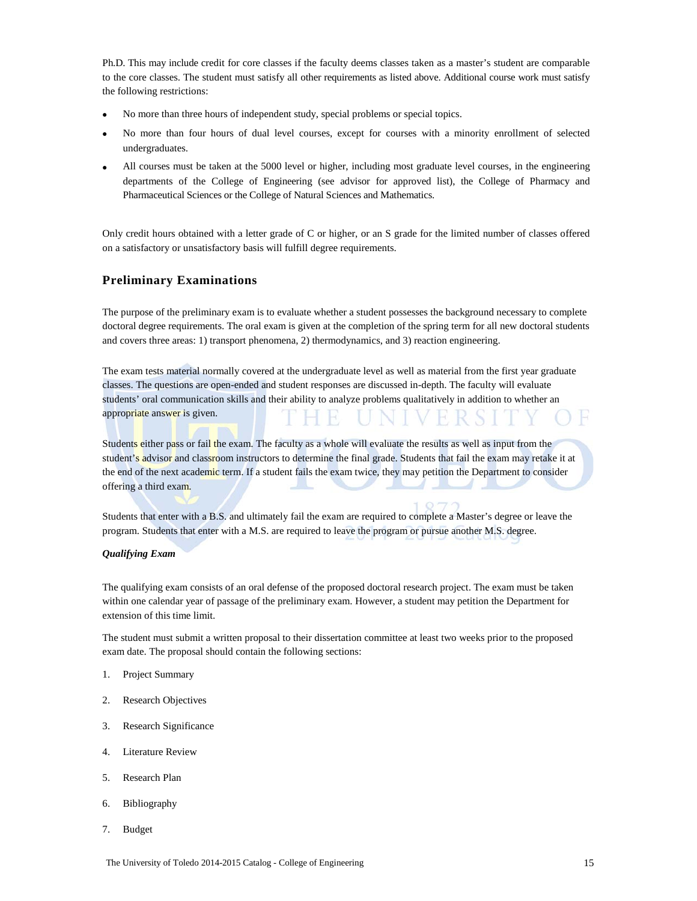Ph.D. This may include credit for core classes if the faculty deems classes taken as a master's student are comparable to the core classes. The student must satisfy all other requirements as listed above. Additional course work must satisfy the following restrictions:

- No more than three hours of independent study, special problems or special topics.
- No more than four hours of dual level courses, except for courses with a minority enrollment of selected undergraduates.
- All courses must be taken at the 5000 level or higher, including most graduate level courses, in the engineering departments of the College of Engineering (see advisor for approved list), the College of Pharmacy and Pharmaceutical Sciences or the College of Natural Sciences and Mathematics.

Only credit hours obtained with a letter grade of C or higher, or an S grade for the limited number of classes offered on a satisfactory or unsatisfactory basis will fulfill degree requirements.

#### **Preliminary Examinations**

The purpose of the preliminary exam is to evaluate whether a student possesses the background necessary to complete doctoral degree requirements. The oral exam is given at the completion of the spring term for all new doctoral students and covers three areas: 1) transport phenomena, 2) thermodynamics, and 3) reaction engineering.

The exam tests material normally covered at the undergraduate level as well as material from the first year graduate classes. The questions are open-ended and student responses are discussed in-depth. The faculty will evaluate students' oral communication skills and their ability to analyze problems qualitatively in addition to whether an appropriate answer is given.

Students either pass or fail the exam. The faculty as a whole will evaluate the results as well as input from the student's advisor and classroom instructors to determine the final grade. Students that fail the exam may retake it at the end of the next academic term. If a student fails the exam twice, they may petition the Department to consider offering a third exam.

Students that enter with a B.S. and ultimately fail the exam are required to complete a Master's degree or leave the program. Students that enter with a M.S. are required to leave the program or pursue another M.S. degree.

#### *Qualifying Exam*

The qualifying exam consists of an oral defense of the proposed doctoral research project. The exam must be taken within one calendar year of passage of the preliminary exam. However, a student may petition the Department for extension of this time limit.

The student must submit a written proposal to their dissertation committee at least two weeks prior to the proposed exam date. The proposal should contain the following sections:

- 1. Project Summary
- 2. Research Objectives
- 3. Research Significance
- 4. Literature Review
- 5. Research Plan
- 6. Bibliography
- 7. Budget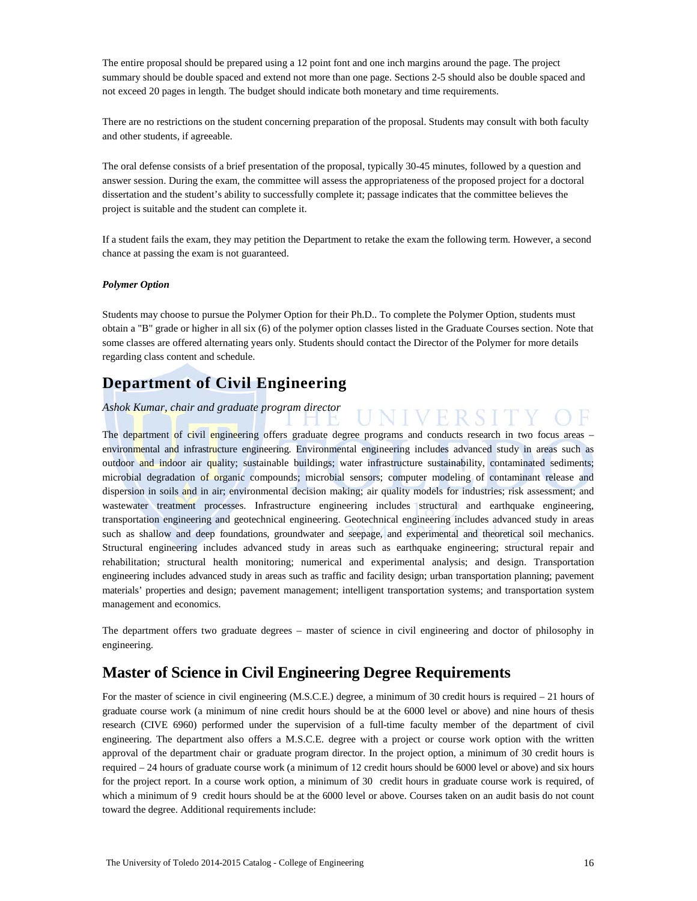The entire proposal should be prepared using a 12 point font and one inch margins around the page. The project summary should be double spaced and extend not more than one page. Sections 2-5 should also be double spaced and not exceed 20 pages in length. The budget should indicate both monetary and time requirements.

There are no restrictions on the student concerning preparation of the proposal. Students may consult with both faculty and other students, if agreeable.

The oral defense consists of a brief presentation of the proposal, typically 30-45 minutes, followed by a question and answer session. During the exam, the committee will assess the appropriateness of the proposed project for a doctoral dissertation and the student's ability to successfully complete it; passage indicates that the committee believes the project is suitable and the student can complete it.

If a student fails the exam, they may petition the Department to retake the exam the following term. However, a second chance at passing the exam is not guaranteed.

#### *Polymer Option*

Students may choose to pursue the Polymer Option for their Ph.D.. To complete the Polymer Option, students must obtain a "B" grade or higher in all six (6) of the polymer option classes listed in the Graduate Courses section. Note that some classes are offered alternating years only. Students should contact the Director of the Polymer for more details regarding class content and schedule.

**INIVERS** 

### **Department of Civil Engineering**

#### *Ashok Kumar, chair and graduate program director*

The department of civil engineering offers graduate degree programs and conducts research in two focus areas – environmental and infrastructure engineering. Environmental engineering includes advanced study in areas such as outdoor and indoor air quality; sustainable buildings; water infrastructure sustainability, contaminated sediments; microbial degradation of organic compounds; microbial sensors; computer modeling of contaminant release and dispersion in soils and in air; environmental decision making; air quality models for industries; risk assessment; and wastewater treatment processes. Infrastructure engineering includes structural and earthquake engineering, transportation engineering and geotechnical engineering. Geotechnical engineering includes advanced study in areas such as shallow and deep foundations, groundwater and seepage, and experimental and theoretical soil mechanics. Structural engineering includes advanced study in areas such as earthquake engineering; structural repair and rehabilitation; structural health monitoring; numerical and experimental analysis; and design. Transportation engineering includes advanced study in areas such as traffic and facility design; urban transportation planning; pavement materials' properties and design; pavement management; intelligent transportation systems; and transportation system management and economics.

The department offers two graduate degrees – master of science in civil engineering and doctor of philosophy in engineering.

### **Master of Science in Civil Engineering Degree Requirements**

For the master of science in civil engineering (M.S.C.E.) degree, a minimum of 30 credit hours is required – 21 hours of graduate course work (a minimum of nine credit hours should be at the 6000 level or above) and nine hours of thesis research (CIVE 6960) performed under the supervision of a full-time faculty member of the department of civil engineering. The department also offers a M.S.C.E. degree with a project or course work option with the written approval of the department chair or graduate program director. In the project option, a minimum of 30 credit hours is required – 24 hours of graduate course work (a minimum of 12 credit hours should be 6000 level or above) and six hours for the project report. In a course work option, a minimum of 30 credit hours in graduate course work is required, of which a minimum of 9 credit hours should be at the 6000 level or above. Courses taken on an audit basis do not count toward the degree. Additional requirements include: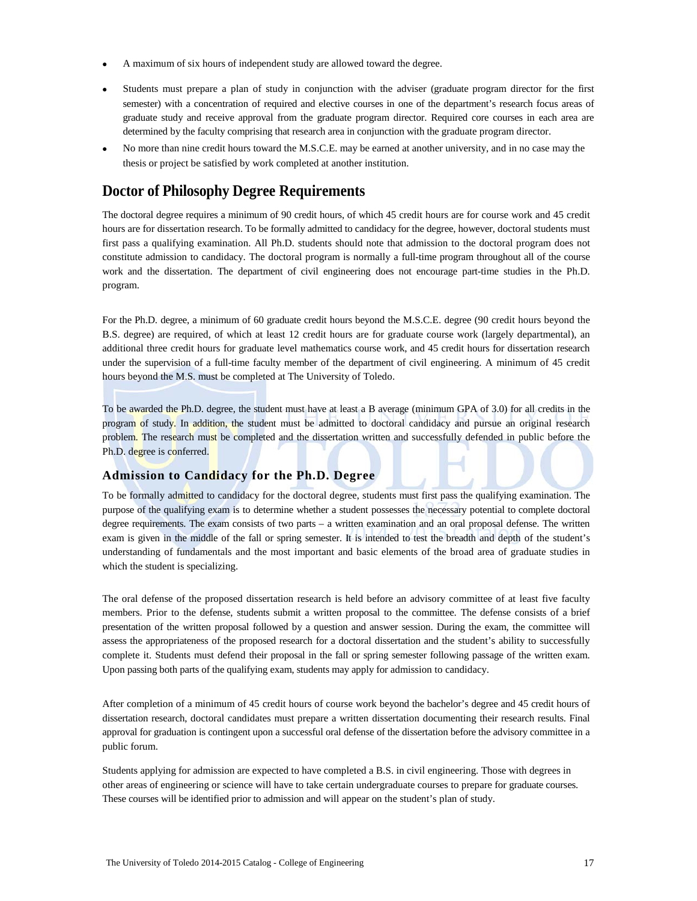- A maximum of six hours of independent study are allowed toward the degree.
- Students must prepare a plan of study in conjunction with the adviser (graduate program director for the first semester) with a concentration of required and elective courses in one of the department's research focus areas of graduate study and receive approval from the graduate program director. Required core courses in each area are determined by the faculty comprising that research area in conjunction with the graduate program director.
- No more than nine credit hours toward the M.S.C.E. may be earned at another university, and in no case may the thesis or project be satisfied by work completed at another institution.

### **Doctor of Philosophy Degree Requirements**

The doctoral degree requires a minimum of 90 credit hours, of which 45 credit hours are for course work and 45 credit hours are for dissertation research. To be formally admitted to candidacy for the degree, however, doctoral students must first pass a qualifying examination. All Ph.D. students should note that admission to the doctoral program does not constitute admission to candidacy. The doctoral program is normally a full-time program throughout all of the course work and the dissertation. The department of civil engineering does not encourage part-time studies in the Ph.D. program.

For the Ph.D. degree, a minimum of 60 graduate credit hours beyond the M.S.C.E. degree (90 credit hours beyond the B.S. degree) are required, of which at least 12 credit hours are for graduate course work (largely departmental), an additional three credit hours for graduate level mathematics course work, and 45 credit hours for dissertation research under the supervision of a full-time faculty member of the department of civil engineering. A minimum of 45 credit hours beyond the M.S. must be completed at The University of Toledo.

To be awarded the Ph.D. degree, the student must have at least a B average (minimum GPA of 3.0) for all credits in the program of study. In addition, the student must be admitted to doctoral candidacy and pursue an original research problem. The research must be completed and the dissertation written and successfully defended in public before the Ph.D. degree is conferred.

### **Admission to Candidacy for the Ph.D. Degree**

To be formally admitted to candidacy for the doctoral degree, students must first pass the qualifying examination. The purpose of the qualifying exam is to determine whether a student possesses the necessary potential to complete doctoral degree requirements. The exam consists of two parts – a written examination and an oral proposal defense. The written exam is given in the middle of the fall or spring semester. It is intended to test the breadth and depth of the student's understanding of fundamentals and the most important and basic elements of the broad area of graduate studies in which the student is specializing.

The oral defense of the proposed dissertation research is held before an advisory committee of at least five faculty members. Prior to the defense, students submit a written proposal to the committee. The defense consists of a brief presentation of the written proposal followed by a question and answer session. During the exam, the committee will assess the appropriateness of the proposed research for a doctoral dissertation and the student's ability to successfully complete it. Students must defend their proposal in the fall or spring semester following passage of the written exam. Upon passing both parts of the qualifying exam, students may apply for admission to candidacy.

After completion of a minimum of 45 credit hours of course work beyond the bachelor's degree and 45 credit hours of dissertation research, doctoral candidates must prepare a written dissertation documenting their research results. Final approval for graduation is contingent upon a successful oral defense of the dissertation before the advisory committee in a public forum.

Students applying for admission are expected to have completed a B.S. in civil engineering. Those with degrees in other areas of engineering or science will have to take certain undergraduate courses to prepare for graduate courses. These courses will be identified prior to admission and will appear on the student's plan of study.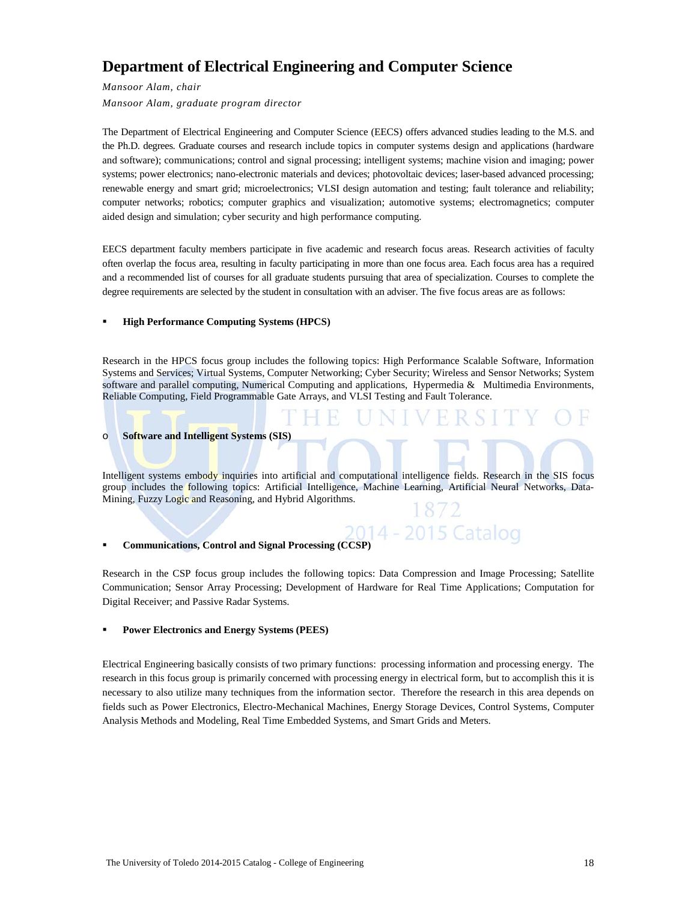# **Department of Electrical Engineering and Computer Science**

*Mansoor Alam, chair*

*Mansoor Alam, graduate program director*

The Department of Electrical Engineering and Computer Science (EECS) offers advanced studies leading to the M.S. and the Ph.D. degrees. Graduate courses and research include topics in computer systems design and applications (hardware and software); communications; control and signal processing; intelligent systems; machine vision and imaging; power systems; power electronics; nano-electronic materials and devices; photovoltaic devices; laser-based advanced processing; renewable energy and smart grid; microelectronics; VLSI design automation and testing; fault tolerance and reliability; computer networks; robotics; computer graphics and visualization; automotive systems; electromagnetics; computer aided design and simulation; cyber security and high performance computing.

EECS department faculty members participate in five academic and research focus areas. Research activities of faculty often overlap the focus area, resulting in faculty participating in more than one focus area. Each focus area has a required and a recommended list of courses for all graduate students pursuing that area of specialization. Courses to complete the degree requirements are selected by the student in consultation with an adviser. The five focus areas are as follows:

#### **High Performance Computing Systems (HPCS)**

Research in the HPCS focus group includes the following topics: High Performance Scalable Software, Information Systems and Services; Virtual Systems, Computer Networking; Cyber Security; Wireless and Sensor Networks; System software and parallel computing, Numerical Computing and applications, Hypermedia & Multimedia Environments, Reliable Computing, Field Programmable Gate Arrays, and VLSI Testing and Fault Tolerance.

#### o **Software and Intelligent Systems (SIS)**

Intelligent systems embody inquiries into artificial and computational intelligence fields. Research in the SIS focus group includes the following topics: Artificial Intelligence, Machine Learning, Artificial Neural Networks, Data-Mining, Fuzzy Logic and Reasoning, and Hybrid Algorithms.

#### 2014 - 2015 Catalog **Communications, Control and Signal Processing (CCSP)**

Research in the CSP focus group includes the following topics: Data Compression and Image Processing; Satellite Communication; Sensor Array Processing; Development of Hardware for Real Time Applications; Computation for Digital Receiver; and Passive Radar Systems.

#### **Power Electronics and Energy Systems (PEES)**

Electrical Engineering basically consists of two primary functions: processing information and processing energy. The research in this focus group is primarily concerned with processing energy in electrical form, but to accomplish this it is necessary to also utilize many techniques from the information sector. Therefore the research in this area depends on fields such as Power Electronics, Electro-Mechanical Machines, Energy Storage Devices, Control Systems, Computer Analysis Methods and Modeling, Real Time Embedded Systems, and Smart Grids and Meters.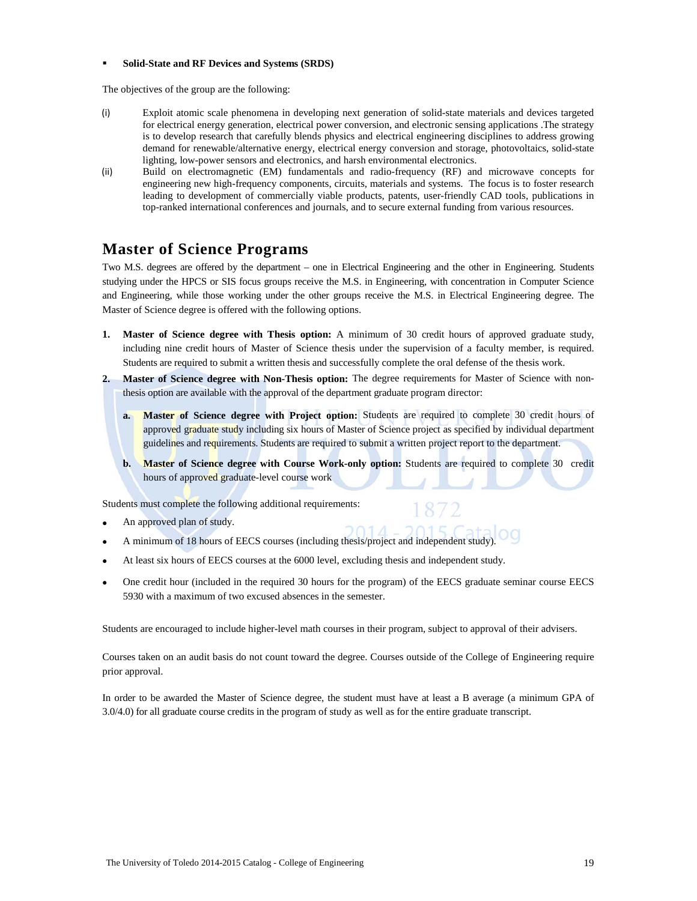#### **Solid-State and RF Devices and Systems (SRDS)**

The objectives of the group are the following:

- (i) Exploit atomic scale phenomena in developing next generation of solid-state materials and devices targeted for electrical energy generation, electrical power conversion, and electronic sensing applications .The strategy is to develop research that carefully blends physics and electrical engineering disciplines to address growing demand for renewable/alternative energy, electrical energy conversion and storage, photovoltaics, solid-state lighting, low-power sensors and electronics, and harsh environmental electronics.
- (ii) Build on electromagnetic (EM) fundamentals and radio-frequency (RF) and microwave concepts for engineering new high-frequency components, circuits, materials and systems. The focus is to foster research leading to development of commercially viable products, patents, user-friendly CAD tools, publications in top-ranked international conferences and journals, and to secure external funding from various resources.

# **Master of Science Programs**

Two M.S. degrees are offered by the department – one in Electrical Engineering and the other in Engineering. Students studying under the HPCS or SIS focus groups receive the M.S. in Engineering, with concentration in Computer Science and Engineering, while those working under the other groups receive the M.S. in Electrical Engineering degree. The Master of Science degree is offered with the following options.

- **1. Master of Science degree with Thesis option:** A minimum of 30 credit hours of approved graduate study, including nine credit hours of Master of Science thesis under the supervision of a faculty member, is required. Students are required to submit a written thesis and successfully complete the oral defense of the thesis work.
- **2. Master of Science degree with Non-Thesis option:** The degree requirements for Master of Science with nonthesis option are available with the approval of the department graduate program director:
	- **a. Master of Science degree with Project option:** Students are required to complete 30 credit hours of approved graduate study including six hours of Master of Science project as specified by individual department guidelines and requirements. Students are required to submit a written project report to the department.
	- **b. Master of Science degree with Course Work-only option:** Students are required to complete 30 credit hours of approved graduate-level course work

Students must complete the following additional requirements:

- An approved plan of study.
- A minimum of 18 hours of EECS courses (including thesis/project and independent study).
- At least six hours of EECS courses at the 6000 level, excluding thesis and independent study.
- One credit hour (included in the required 30 hours for the program) of the EECS graduate seminar course EECS 5930 with a maximum of two excused absences in the semester.

Students are encouraged to include higher-level math courses in their program, subject to approval of their advisers.

Courses taken on an audit basis do not count toward the degree. Courses outside of the College of Engineering require prior approval.

In order to be awarded the Master of Science degree, the student must have at least a B average (a minimum GPA of 3.0/4.0) for all graduate course credits in the program of study as well as for the entire graduate transcript.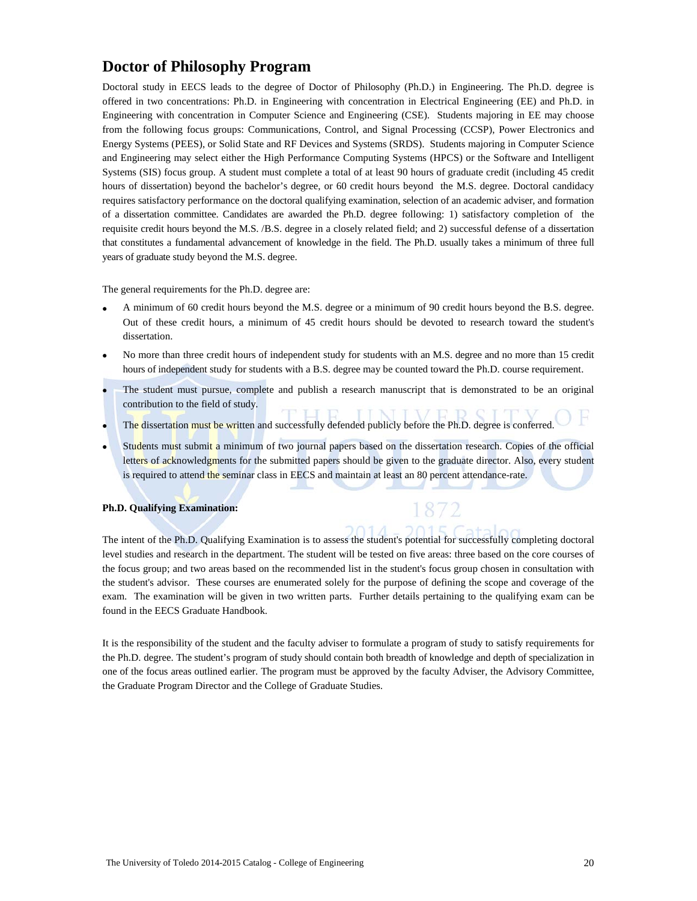### **Doctor of Philosophy Program**

Doctoral study in EECS leads to the degree of Doctor of Philosophy (Ph.D.) in Engineering. The Ph.D. degree is offered in two concentrations: Ph.D. in Engineering with concentration in Electrical Engineering (EE) and Ph.D. in Engineering with concentration in Computer Science and Engineering (CSE). Students majoring in EE may choose from the following focus groups: Communications, Control, and Signal Processing (CCSP), Power Electronics and Energy Systems (PEES), or Solid State and RF Devices and Systems (SRDS). Students majoring in Computer Science and Engineering may select either the High Performance Computing Systems (HPCS) or the Software and Intelligent Systems (SIS) focus group. A student must complete a total of at least 90 hours of graduate credit (including 45 credit hours of dissertation) beyond the bachelor's degree, or 60 credit hours beyond the M.S. degree. Doctoral candidacy requires satisfactory performance on the doctoral qualifying examination, selection of an academic adviser, and formation of a dissertation committee. Candidates are awarded the Ph.D. degree following: 1) satisfactory completion of the requisite credit hours beyond the M.S. /B.S. degree in a closely related field; and 2) successful defense of a dissertation that constitutes a fundamental advancement of knowledge in the field. The Ph.D. usually takes a minimum of three full years of graduate study beyond the M.S. degree.

The general requirements for the Ph.D. degree are:

- A minimum of 60 credit hours beyond the M.S. degree or a minimum of 90 credit hours beyond the B.S. degree. Out of these credit hours, a minimum of 45 credit hours should be devoted to research toward the student's dissertation.
- No more than three credit hours of independent study for students with an M.S. degree and no more than 15 credit hours of independent study for students with a B.S. degree may be counted toward the Ph.D. course requirement.
- The student must pursue, complete and publish a research manuscript that is demonstrated to be an original contribution to the field of study.
- The dissertation must be written and successfully defended publicly before the Ph.D. degree is conferred.
- Students must submit a minimum of two journal papers based on the dissertation research. Copies of the official letters of acknowledgments for the submitted papers should be given to the graduate director. Also, every student is required to attend the seminar class in EECS and maintain at least an 80 percent attendance-rate.

#### **Ph.D. Qualifying Examination:**

The intent of the Ph.D. Qualifying Examination is to assess the student's potential for successfully completing doctoral level studies and research in the department. The student will be tested on five areas: three based on the core courses of the focus group; and two areas based on the recommended list in the student's focus group chosen in consultation with the student's advisor. These courses are enumerated solely for the purpose of defining the scope and coverage of the exam. The examination will be given in two written parts. Further details pertaining to the qualifying exam can be found in the EECS Graduate Handbook.

It is the responsibility of the student and the faculty adviser to formulate a program of study to satisfy requirements for the Ph.D. degree. The student's program of study should contain both breadth of knowledge and depth of specialization in one of the focus areas outlined earlier. The program must be approved by the faculty Adviser, the Advisory Committee, the Graduate Program Director and the College of Graduate Studies.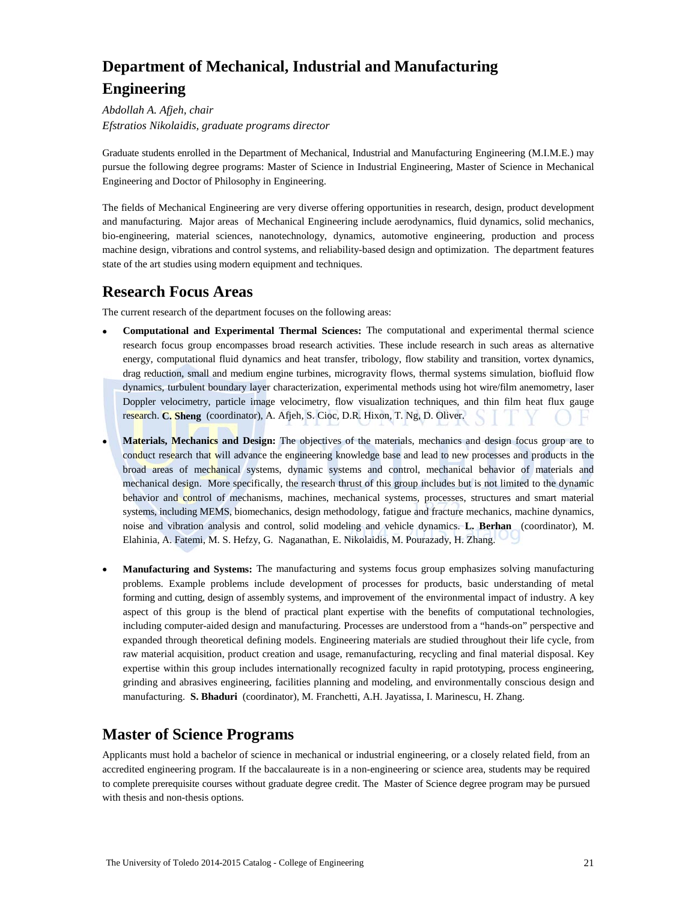# **Department of Mechanical, Industrial and Manufacturing Engineering**

*Abdollah A. Afjeh, chair Efstratios Nikolaidis, graduate programs director*

Graduate students enrolled in the Department of Mechanical, Industrial and Manufacturing Engineering (M.I.M.E.) may pursue the following degree programs: Master of Science in Industrial Engineering, Master of Science in Mechanical Engineering and Doctor of Philosophy in Engineering.

The fields of Mechanical Engineering are very diverse offering opportunities in research, design, product development and manufacturing. Major areas of Mechanical Engineering include aerodynamics, fluid dynamics, solid mechanics, bio-engineering, material sciences, nanotechnology, dynamics, automotive engineering, production and process machine design, vibrations and control systems, and reliability-based design and optimization. The department features state of the art studies using modern equipment and techniques.

### **Research Focus Areas**

The current research of the department focuses on the following areas:

- **Computational and Experimental Thermal Sciences:** The computational and experimental thermal science research focus group encompasses broad research activities. These include research in such areas as alternative energy, computational fluid dynamics and heat transfer, tribology, flow stability and transition, vortex dynamics, drag reduction, small and medium engine turbines, microgravity flows, thermal systems simulation, biofluid flow dynamics, turbulent boundary layer characterization, experimental methods using hot wire/film anemometry, laser Doppler velocimetry, particle image velocimetry, flow visualization techniques, and thin film heat flux gauge research. **C. Sheng** (coordinator), A. Afjeh, S. Cioc, D.R. Hixon, T. Ng, D. Oliver.
- **Materials, Mechanics and Design:** The objectives of the materials, mechanics and design focus group are to conduct research that will advance the engineering knowledge base and lead to new processes and products in the broad areas of mechanical systems, dynamic systems and control, mechanical behavior of materials and mechanical design. More specifically, the research thrust of this group includes but is not limited to the dynamic behavior and control of mechanisms, machines, mechanical systems, processes, structures and smart material systems, including MEMS, biomechanics, design methodology, fatigue and fracture mechanics, machine dynamics, noise and vibration analysis and control, solid modeling and vehicle dynamics. **L. Berhan** (coordinator), M. Elahinia, A. Fatemi, M. S. Hefzy, G. Naganathan, E. Nikolaidis, M. Pourazady, H. Zhang.
- **Manufacturing and Systems:** The manufacturing and systems focus group emphasizes solving manufacturing problems. Example problems include development of processes for products, basic understanding of metal forming and cutting, design of assembly systems, and improvement of the environmental impact of industry. A key aspect of this group is the blend of practical plant expertise with the benefits of computational technologies, including computer-aided design and manufacturing. Processes are understood from a "hands-on" perspective and expanded through theoretical defining models. Engineering materials are studied throughout their life cycle, from raw material acquisition, product creation and usage, remanufacturing, recycling and final material disposal. Key expertise within this group includes internationally recognized faculty in rapid prototyping, process engineering, grinding and abrasives engineering, facilities planning and modeling, and environmentally conscious design and manufacturing. **S. Bhaduri** (coordinator), M. Franchetti, A.H. Jayatissa, I. Marinescu, H. Zhang.

# **Master of Science Programs**

Applicants must hold a bachelor of science in mechanical or industrial engineering, or a closely related field, from an accredited engineering program. If the baccalaureate is in a non-engineering or science area, students may be required to complete prerequisite courses without graduate degree credit. The Master of Science degree program may be pursued with thesis and non-thesis options.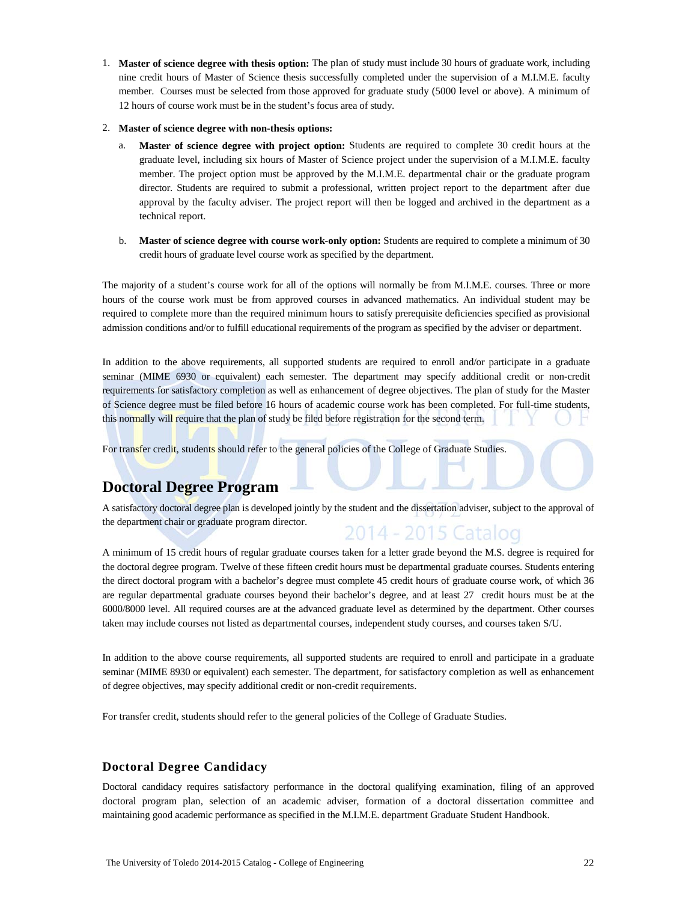1. **Master of science degree with thesis option:** The plan of study must include 30 hours of graduate work, including nine credit hours of Master of Science thesis successfully completed under the supervision of a M.I.M.E. faculty member. Courses must be selected from those approved for graduate study (5000 level or above). A minimum of 12 hours of course work must be in the student's focus area of study.

#### 2. **Master of science degree with non-thesis options:**

- a. **Master of science degree with project option:** Students are required to complete 30 credit hours at the graduate level, including six hours of Master of Science project under the supervision of a M.I.M.E. faculty member. The project option must be approved by the M.I.M.E. departmental chair or the graduate program director. Students are required to submit a professional, written project report to the department after due approval by the faculty adviser. The project report will then be logged and archived in the department as a technical report.
- b. **Master of science degree with course work-only option:** Students are required to complete a minimum of 30 credit hours of graduate level course work as specified by the department.

The majority of a student's course work for all of the options will normally be from M.I.M.E. courses. Three or more hours of the course work must be from approved courses in advanced mathematics. An individual student may be required to complete more than the required minimum hours to satisfy prerequisite deficiencies specified as provisional admission conditions and/or to fulfill educational requirements of the program as specified by the adviser or department.

In addition to the above requirements, all supported students are required to enroll and/or participate in a graduate seminar (MIME 6930 or equivalent) each semester. The department may specify additional credit or non-credit requirements for satisfactory completion as well as enhancement of degree objectives. The plan of study for the Master of Science degree must be filed before 16 hours of academic course work has been completed. For full-time students, this normally will require that the plan of study be filed before registration for the second term.

For transfer credit, students should refer to the general policies of the College of Graduate Studies.

# **Doctoral Degree Program**

A satisfactory doctoral degree plan is developed jointly by the student and the dissertation adviser, subject to the approval of the department chair or graduate program director. 2014 - 2015 Catalog

A minimum of 15 credit hours of regular graduate courses taken for a letter grade beyond the M.S. degree is required for the doctoral degree program. Twelve of these fifteen credit hours must be departmental graduate courses. Students entering the direct doctoral program with a bachelor's degree must complete 45 credit hours of graduate course work, of which 36 are regular departmental graduate courses beyond their bachelor's degree, and at least 27 credit hours must be at the 6000/8000 level. All required courses are at the advanced graduate level as determined by the department. Other courses taken may include courses not listed as departmental courses, independent study courses, and courses taken S/U.

In addition to the above course requirements, all supported students are required to enroll and participate in a graduate seminar (MIME 8930 or equivalent) each semester. The department, for satisfactory completion as well as enhancement of degree objectives, may specify additional credit or non-credit requirements.

For transfer credit, students should refer to the general policies of the College of Graduate Studies.

### **Doctoral Degree Candidacy**

Doctoral candidacy requires satisfactory performance in the doctoral qualifying examination, filing of an approved doctoral program plan, selection of an academic adviser, formation of a doctoral dissertation committee and maintaining good academic performance as specified in the M.I.M.E. department Graduate Student Handbook.